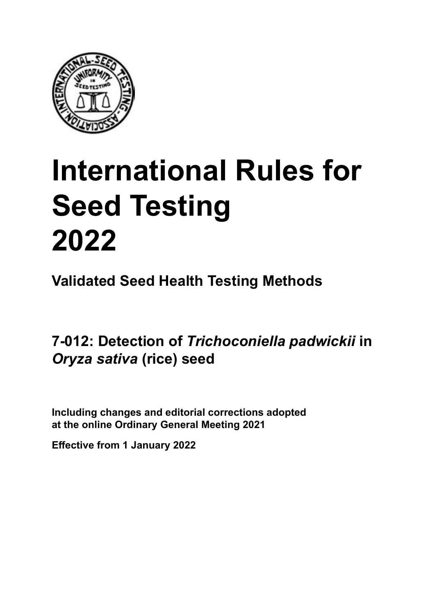

# **International Rules for Seed Testing von Saatgut 2022 2022 Semences 2022 Seed Testing<br>Seed Testing<br>2022<br><sup>Validated Seed Health Testing Methods<br>7-012: Detection of** *Trichoconiella padwickii* **in<br>***Oryza sativa* **(rice) seed**</sup> **Seed Testing 2022**

**Métodos Validados para Análisis de Sanidad de Semillas Validate Méthodes Validées pour Analyse Sanitaire des Semences Validated Seed Health Testing Methods**

7-012: Detection of *Trichoconiella padwickii* in **semillas de** *Oryza sativa* **(arroz) Samen von** *Oryza sativa* **(Reis)** *Oryza sativa* **(rice) seed**

Including changes and editorial corrections adopted at the online Ordinary General Meeting 2021

**Effective from 1 January 2022**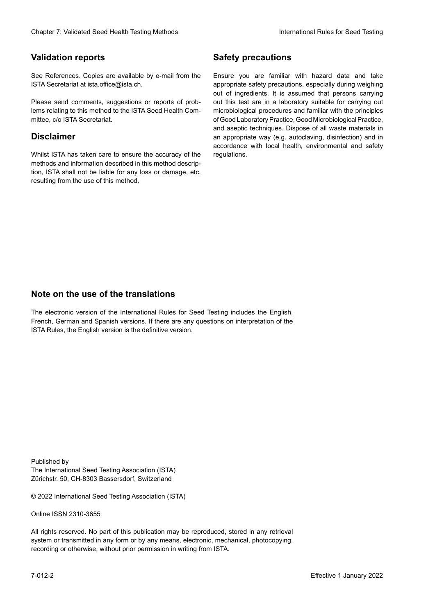#### **Validation reports**

See References. Copies are available by e-mail from the<br>ISTA Secretariat at ista.office@ista.ch. ISTA Secretariat at ista.office@ista.ch.

lems relating to this method to the ISTA Seed Health Com-<br>mittee, c/o ISTA Secretariat. mittee, c/o ISTA Secretariat.<br>i Please send comments, suggestions or reports of prob-

### **Limitation de responsabilité Disclaimer**

Whilst ISTA has taken care to ensure the accuracy of the<br>methods and information described in this method description, ISTA shall not be liable for any loss or damage, etc.<br>resulting from the use of this method.<br>. resulting from the use of this method. Whilst ISTA has taken care to ensure the accuracy of the methods and information described in this method descrip-<br>tion, ISTA shall not be liable for any loss or damage, etc. tion, ISTA shall not be liable for any loss or damage, etc.<br>resulting from the use of this method.

### **Medidas de seguridad Sicherheitsmaßnahmen Sécurité Safety precautions**

Ensure you are familiar with hazard data and take Ensure you are familiar with hazard data and take<br>appropriate safety precautions, especially during weighing out of ingredients. It is assumed that persons carrying out this test are in a laboratory suitable for carrying out microbiological procedures and familiar with the principles of Good Laboratory Practice, Good Microbiological Practice, and aseptic techniques. Dispose of all waste materials in an appropriate way (e.g. autoclaving, disinfection) and in accordance with local health, environmental and safety regulations. Glade 7: Validated Deed Health Testing holesdos<br>
Gallet Corresponds<br>
Validation responds with a statistic by e-mail four ole Simuar you are Smithty Health Nasard date and shift<br>
GMS Decretors at statistic displaces,<br>
Simua microbiological procedures and familiar with the principles<br>of Good Laboratory Practice, Good Microbiological Practice,<br>and aseptic techniques. Dispose of all waste materials in<br>an appropriate way (e.g. autoclaving, disinf fallstoffe sind auf geeignete Weise und entsprechend der vor Ort über und Umwelt-<br>Sicherheits- und Umwelt- und Umwelt-Effective Counter of Nicholas Devel Teach Teach Teach Devel Safety precedutions<br>
Validation reports<br>
Safety precedution reports and the symbol state of the sementic of the symbol state of the based delay and share<br>
Propose of Good Laboratory Practice, Good Microbiological Practice,<br>and aseptic techniques. Dispose of all waste materials in<br>an appropriate way (e.g. autoclaving, disinfection) and in Validation reports<br>
Since The Texture 1988 and the system of the Since Theorem and the Since Theorem and the system of the Since The Since The Since The Since The Since The Since The Since The Since The Since The Since The Ensure you are familiar with hazard data and take<br>appropriate safety precautions, especially during weighing<br>out of ingredients. It is assumed that persons carrying<br>out this test are in a laboratory suitable for carrying o

## **Nota sobre el uso de traducciones Anmerkung zur Benutzung der Übersetzungen Note on the use of the translations**

The electronic version of the International Rules for Seed Testing includes the English, French, German and Spanish versions. If there are any questions on interpretation of the ISTA Rules, the English version is the definitive version. The electronic version of the International Rules for Seed Testing includes the English,<br>French, German and Spanish versions. If there are any questions on interpretation of the<br>ISTA Rules, the English version is the defin The electronic version of the International Rules for Seed Testing includes the English,<br>French, German and Spanish versions. If there are any questions on interpretation of the

Published by **Extending Association (ISTA)** The International Seed Testing Association (ISTA) Zürichstr. 50, CH-8303 Bassersdorf, Switzerland

© 2022 International Seed Testing Association (ISTA)

Alle Rechte vorbehalten. Kein Teil dieses Werkes darf in irgendwelcher Form oder durch Online ISSN 2310-3655

All rights reserved. No part of this publication may be reproduced, stored in any retrieval All rights reserved. No part of this publication may be reproduced, stored in any retrieval<br>system or transmitted in any form or by any means, electronic, mechanical, photocopying,<br>recording or otherwise, without prior per recording or otherwise, without prior permis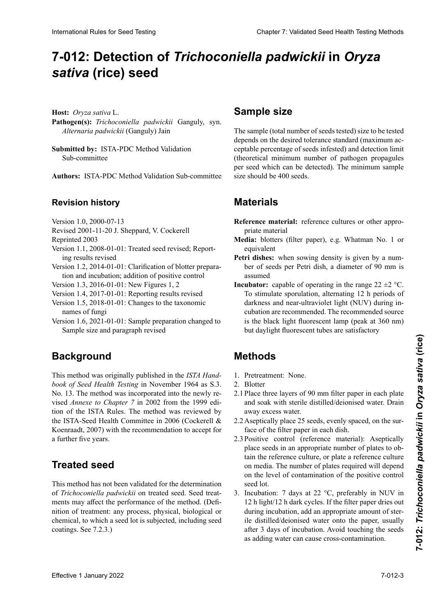# 7-012: Detection of *Trichoconiella padwickii* in *Oryza* **semillas de** *Oryza sativa* **(arroz) von** *Oryza sativa* **(Reis) semences de** *Oryza sativa* **(riz)** *sativa* **(rice) seed**

**Host:** *Oryza sativa* L.

Pathogen(s): Trichoconiella padwickii Ganguly, syn.<br>Alternaria padwickii (Ganguly) Jain *Alternaria padwickii* (Ganguly) Jain *Alternaria padwickii* (Ganguly) Jain

**Submitted by:** ISTA-PDC Method Validation Sub-committee

**Autores:** ISTA-PDC Method Validation Sub-committee **Autoren:** ISTA-PDC Method Validation Sub-committee **Préparé par :** Sous-Comité de Validation des Méthodes **Authors:** ISTA-PDC Method Validation Sub-committee

#### **Historial de revisiones Revisionsstand Historique de la révision Revision history**

- Version 1.0, 2000-07-13 VEISION 1.0, 2000-07-15 version 1.0, 2000-07-13
- $R$ evised 2001-1. Revised 2001-11-20 J. Sheppard, V. Cockerell
- Reprinted 2003
- Reprinted 2003<br>sion  $1.1, 2008-01-01$ : Tre ing results revised  $\text{Keprinted } 2003$ Version 1.1, 2008-01-01: Treated seed revised; Report-
- Version 1.2, 2014-01-01: Clarification of blotter preparation and incubation; addition of positive control
- Version 1.3, 2016-01-01: New Figures 1, 2
- Version 1.3, 2016-01-01: New Figures 1, 2<br>Version 1.4, 2017-01-01: Reporting results revised
- Version 1.5, 2018-01-01: Changes to the taxonomic names of fungi
- Version 1.6, 2021-01-01: Sample preparation changed to Sample size and paragraph revised

#### **Background Hintergrund Background**

This method was originally published in the *ISTA Hand*book of Seed Health Testing in November 1964 as S.3. No. 13. The method was incorporated into the newly revised *Annexe to Chapter* 7 in 2002 from the 1999 edition of the ISTA Rules. The method was reviewed by the ISTA-Seed Health Committee in 2006 (Cockerell  $\&$ tion of the ISTA Rules. The method was reviewed by<br>the ISTA-Seed Health Committee in 2006 (Cockerell & the ISTA-Seed Health Committee in 2006 (Cockerell & Koenraadt, 2007) with the recommendation to accept for aceptados por los proximos cinco años.<br>Protectos de proximos cinco años. a further five years.  $\alpha$  recover live justice **International Rules for Seed Testing Control Control Control Control Control Control Control Control Control Control Control Control Control Control Control Control Control Control Control Control Control Control Control** 

#### **Semilla tratada Behandeltes (gebeiztes) Saatgut Treated seed**

This method has not been validated for the determination *This incured has not been vandated for the determination*  $\alpha$  *menocomena puedencea* on dealed seed. Seed dealof *Irtenocometia piawicku* on treated seed. Seed treat-<br>ments may affect the performance of the method. (Definition of treatment: any process, physical, biological or chemical, to which a seed fot is subjected, including seed This include has not been vanitated for the determination<br>of *Trichoconiella padwickii* on treated seed. Seed treatcoatings. See 7.2.3.) muon of treatment: any process, physical, biological or<br>chemical, to which a seed lot is subjected, including seed<br>coatings. See 7.2.3.) chemical, to which a seed lot is subjected, including seed

# **Sample size**

The sample (total number of seeds tested) size to be tested depends on the desired tolerance standard (maximum acceptable percentage of seeds infested) and detection limit ceptable percentage of seeds infested) and detection limit tadas) y del límite de detección (número mínimo teóri-und der Nachweisgrenze (theoretische Mindestzahl von de la limite de détection (nombre minimum théorique de (theoretical minimum number of pathogen propagules per seed which can be detected). The minimum sample<br>size should be 400 seeds. por secu when can se accesse, The minimum sumpre size show per seed which can be denoted, The Himman sample size should be 400 seeds.

# **Materiales Material MatérielMaterials**

- Reference material: reference cultures or other appropriate material
- Media: blotters (filter paper), e.g. Whatman No. 1 or equivalent
- Petri dishes: when sowing density is given by a number of seeds per Petri dish, a diameter of 90 mm is assumed assumed
- **Incubator:** capable of operating in the range  $22 \pm 2$  °C. **Incubator:** capable of operating in the range  $22 \pm 2$  °C.<br>To stimulate sporulation, alternating 12 h periods of darkness and near-ultraviolet light (NUV) during indarkness and near-ultraviolet light (NUV) during incubation are recommended. The recommended source is the black light fluorescent lamp (peak at 360 nm)<br>but daylight fluorescent tubes are satisfactory but daylight fluorescent tubes are satisfactory To stimulate sporulation, alternating 12 h periods of

#### **Métodos Methoden MéthodesMethods**

- 1. Pretreatment: None.
- 2. Blotter
- 2.1 Place three layers of 90 mm filter paper in each plate and soak with sterile distilled/deionised water. Drain away excess water. away excess water.<br>2.2 Aseptically place 25 seeds, evenly spaced, on the sur-
- 2.2 Colocar asépticamente 25 semillas, uniformemente es-2.2 Unter sterilen Bedingungen 25 Samen je Platte gleich-2.2 De manière aseptique, placer 25 semences, réguliè-face of the filter paper in each dish.
- rement espacha märkig papel in surface du papier de cada august 2.3 Positive control (reference material): Aseptically place seeds in an appropriate number of plates to obtain the reference culture, or plate a reference culture as épocas de Thomas de la conduction de un número apropiado de un número de un número de un número de un número on media. The hamber of places reduced will depend on the level of contamination of the positive control poetique.<br>Le decontaminación de contaminación de contaminación de contaminación de contaminación de contaminación de con and the reference ethnic, or plate a reference ethnic<br>on media. The number of plates required will depend seed lot.
- 3. Incubation: 7 days at 22  $\degree$ C, preferably in NUV in 3. Includation 7 days at  $22^\circ$ C, preferably in NOV in 12 h light/12 h dark cycles. If the filter paper dries out 12 h light 12 h dark cycles. If the lifter paper dries out<br>during incubation, add an appropriate amount of sterile distilled/deionised water onto the paper, usually after 3 days of incubation. Avoid touching the seeds as adding water can cause cross-contamination.